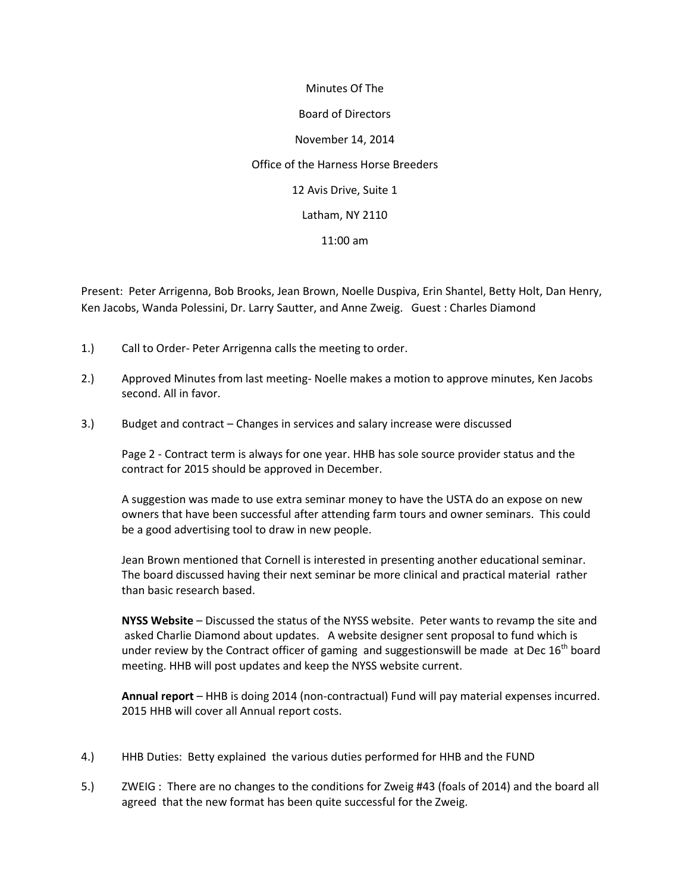Minutes Of The Board of Directors November 14, 2014 Office of the Harness Horse Breeders 12 Avis Drive, Suite 1 Latham, NY 2110 11:00 am

Present: Peter Arrigenna, Bob Brooks, Jean Brown, Noelle Duspiva, Erin Shantel, Betty Holt, Dan Henry, Ken Jacobs, Wanda Polessini, Dr. Larry Sautter, and Anne Zweig. Guest : Charles Diamond

- 1.) Call to Order- Peter Arrigenna calls the meeting to order.
- 2.) Approved Minutes from last meeting- Noelle makes a motion to approve minutes, Ken Jacobs second. All in favor.
- 3.) Budget and contract Changes in services and salary increase were discussed

Page 2 - Contract term is always for one year. HHB has sole source provider status and the contract for 2015 should be approved in December.

A suggestion was made to use extra seminar money to have the USTA do an expose on new owners that have been successful after attending farm tours and owner seminars. This could be a good advertising tool to draw in new people.

Jean Brown mentioned that Cornell is interested in presenting another educational seminar. The board discussed having their next seminar be more clinical and practical material rather than basic research based.

**NYSS Website** – Discussed the status of the NYSS website. Peter wants to revamp the site and asked Charlie Diamond about updates. A website designer sent proposal to fund which is under review by the Contract officer of gaming and suggestionswill be made at Dec  $16<sup>th</sup>$  board meeting. HHB will post updates and keep the NYSS website current.

**Annual report** – HHB is doing 2014 (non-contractual) Fund will pay material expenses incurred. 2015 HHB will cover all Annual report costs.

- 4.) HHB Duties: Betty explained the various duties performed for HHB and the FUND
- 5.) ZWEIG : There are no changes to the conditions for Zweig #43 (foals of 2014) and the board all agreed that the new format has been quite successful for the Zweig.